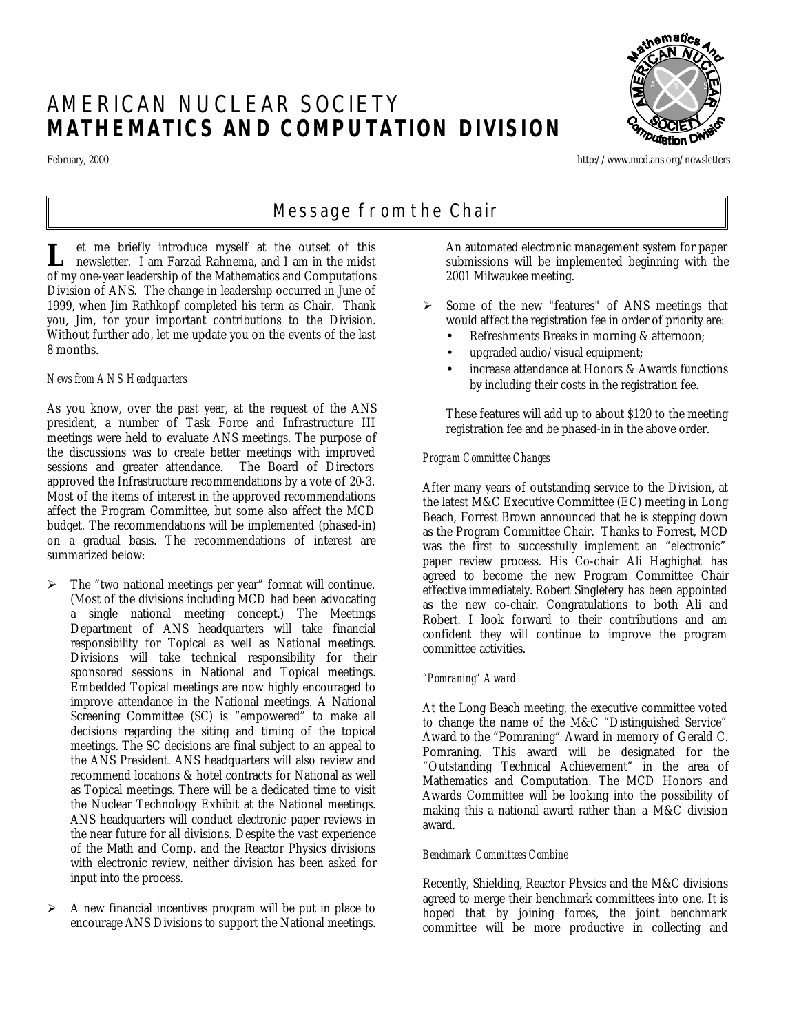# AMERICAN NUCLEAR SOCIETY **MATHEMATICS AND COMPUTATION DIVISION**

<sub>\N</sub>ematic<sub>8</sub> A N S **Putation** 

February, 2000 http://www.mcd.ans.org/newsletters

## *Message from the Chair*

et me briefly introduce myself at the outset of this **L** et me briefly introduce myself at the outset of this newsletter. I am Farzad Rahnema, and I am in the midst of my one-year leadership of the Mathematics and Computations Division of ANS. The change in leadership occurred in June of 1999, when Jim Rathkopf completed his term as Chair. Thank you, Jim, for your important contributions to the Division. Without further ado, let me update you on the events of the last 8 months.

## *News from ANS Headquarters*

As you know, over the past year, at the request of the ANS president, a number of Task Force and Infrastructure III meetings were held to evaluate ANS meetings. The purpose of the discussions was to create better meetings with improved sessions and greater attendance. The Board of Directors approved the Infrastructure recommendations by a vote of 20-3. Most of the items of interest in the approved recommendations affect the Program Committee, but some also affect the MCD budget. The recommendations will be implemented (phased-in) on a gradual basis. The recommendations of interest are summarized below:

- $\triangleright$  The "two national meetings per year" format will continue. (Most of the divisions including MCD had been advocating a single national meeting concept.) The Meetings Department of ANS headquarters will take financial responsibility for Topical as well as National meetings. Divisions will take technical responsibility for their sponsored sessions in National and Topical meetings. Embedded Topical meetings are now highly encouraged to improve attendance in the National meetings. A National Screening Committee (SC) is "empowered" to make all decisions regarding the siting and timing of the topical meetings. The SC decisions are final subject to an appeal to the ANS President. ANS headquarters will also review and recommend locations & hotel contracts for National as well as Topical meetings. There will be a dedicated time to visit the Nuclear Technology Exhibit at the National meetings. ANS headquarters will conduct electronic paper reviews in the near future for all divisions. Despite the vast experience of the Math and Comp. and the Reactor Physics divisions with electronic review, neither division has been asked for input into the process.
- $\triangleright$  A new financial incentives program will be put in place to encourage ANS Divisions to support the National meetings.

An automated electronic management system for paper submissions will be implemented beginning with the 2001 Milwaukee meeting.

- $\triangleright$  Some of the new "features" of ANS meetings that would affect the registration fee in order of priority are:
	- Refreshments Breaks in morning & afternoon;
	- upgraded audio/visual equipment;
	- increase attendance at Honors & Awards functions by including their costs in the registration fee.

These features will add up to about \$120 to the meeting registration fee and be phased-in in the above order.

## *Program Committee Changes*

After many years of outstanding service to the Division, at the latest M&C Executive Committee (EC) meeting in Long Beach, Forrest Brown announced that he is stepping down as the Program Committee Chair. Thanks to Forrest, MCD was the first to successfully implement an "electronic" paper review process. His Co-chair Ali Haghighat has agreed to become the new Program Committee Chair effective immediately. Robert Singletery has been appointed as the new co-chair. Congratulations to both Ali and Robert. I look forward to their contributions and am confident they will continue to improve the program committee activities.

## *"Pomraning" Award*

At the Long Beach meeting, the executive committee voted to change the name of the M&C "Distinguished Service" Award to the "Pomraning" Award in memory of Gerald C. Pomraning. This award will be designated for the "Outstanding Technical Achievement" in the area of Mathematics and Computation. The MCD Honors and Awards Committee will be looking into the possibility of making this a national award rather than a M&C division award.

## *Benchmark Committees Combine*

Recently, Shielding, Reactor Physics and the M&C divisions agreed to merge their benchmark committees into one. It is hoped that by joining forces, the joint benchmark committee will be more productive in collecting and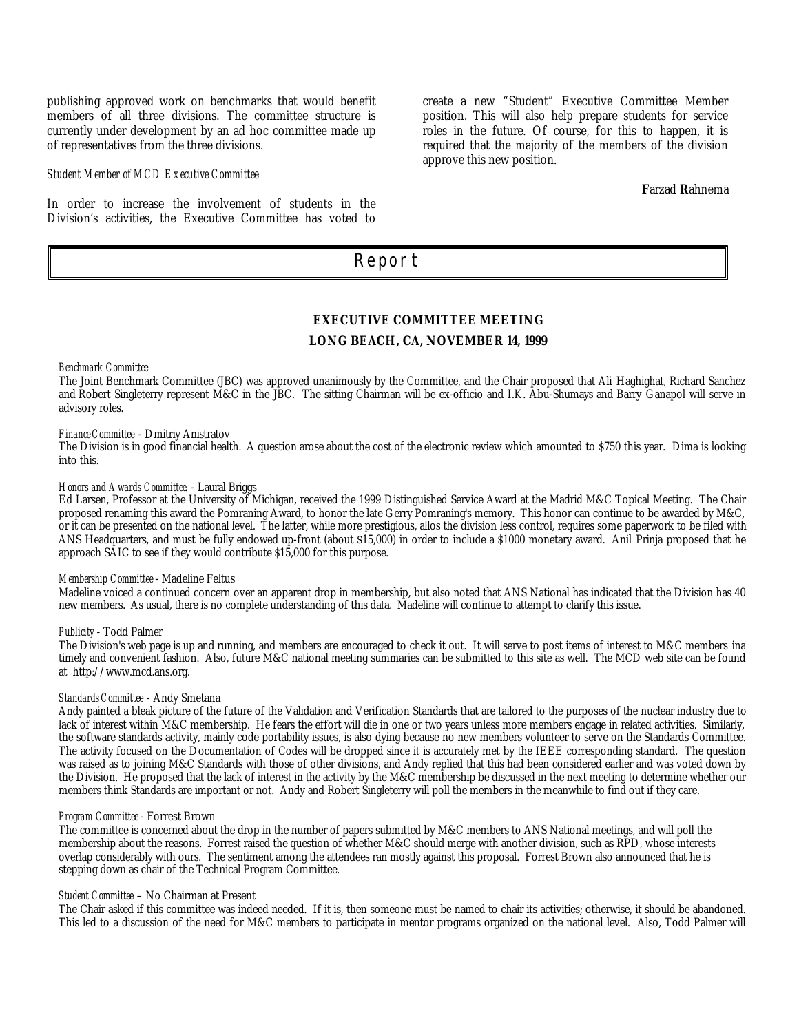publishing approved work on benchmarks that would benefit members of all three divisions. The committee structure is currently under development by an ad hoc committee made up of representatives from the three divisions.

#### *Student Member of MCD Executive Committee*

In order to increase the involvement of students in the Division's activities, the Executive Committee has voted to create a new "Student" Executive Committee Member position. This will also help prepare students for service roles in the future. Of course, for this to happen, it is required that the majority of the members of the division approve this new position.

**F**arzad **R**ahnema

## *Report*

## **EXECUTIVE COMMITTEE MEETING LONG BEACH, CA, NOVEMBER 14, 1999**

*Benchmark Committee*

The Joint Benchmark Committee (JBC) was approved unanimously by the Committee, and the Chair proposed that Ali Haghighat, Richard Sanchez and Robert Singleterry represent M&C in the JBC. The sitting Chairman will be ex-officio and I.K. Abu-Shumays and Barry Ganapol will serve in advisory roles.

### *Finance Committee* - Dmitriy Anistratov

The Division is in good financial health. A question arose about the cost of the electronic review which amounted to \$750 this year. Dima is looking into this.

#### *Honors and Awards Committee*. - Laural Briggs

Ed Larsen, Professor at the University of Michigan, received the 1999 Distinguished Service Award at the Madrid M&C Topical Meeting. The Chair proposed renaming this award the Pomraning Award, to honor the late Gerry Pomraning's memory. This honor can continue to be awarded by M&C, or it can be presented on the national level. The latter, while more prestigious, allos the division less control, requires some paperwork to be filed with ANS Headquarters, and must be fully endowed up-front (about \$15,000) in order to include a \$1000 monetary award. Anil Prinja proposed that he approach SAIC to see if they would contribute \$15,000 for this purpose.

#### *Membership Committee* - Madeline Feltus

Madeline voiced a continued concern over an apparent drop in membership, but also noted that ANS National has indicated that the Division has 40 new members. As usual, there is no complete understanding of this data. Madeline will continue to attempt to clarify this issue.

#### *Publicity* - Todd Palmer

The Division's web page is up and running, and members are encouraged to check it out. It will serve to post items of interest to M&C members ina timely and convenient fashion. Also, future M&C national meeting summaries can be submitted to this site as well. The MCD web site can be found at http://www.mcd.ans.org.

#### *Standards Committee* - Andy Smetana

Andy painted a bleak picture of the future of the Validation and Verification Standards that are tailored to the purposes of the nuclear industry due to lack of interest within M&C membership. He fears the effort will die in one or two years unless more members engage in related activities. Similarly, the software standards activity, mainly code portability issues, is also dying because no new members volunteer to serve on the Standards Committee. The activity focused on the Documentation of Codes will be dropped since it is accurately met by the IEEE corresponding standard. The question was raised as to joining M&C Standards with those of other divisions, and Andy replied that this had been considered earlier and was voted down by the Division. He proposed that the lack of interest in the activity by the M&C membership be discussed in the next meeting to determine whether our members think Standards are important or not. Andy and Robert Singleterry will poll the members in the meanwhile to find out if they care.

#### *Program Committee* - Forrest Brown

The committee is concerned about the drop in the number of papers submitted by M&C members to ANS National meetings, and will poll the membership about the reasons. Forrest raised the question of whether M&C should merge with another division, such as RPD, whose interests overlap considerably with ours. The sentiment among the attendees ran mostly against this proposal. Forrest Brown also announced that he is stepping down as chair of the Technical Program Committee.

#### *Student Committee* – No Chairman at Present

The Chair asked if this committee was indeed needed. If it is, then someone must be named to chair its activities; otherwise, it should be abandoned. This led to a discussion of the need for M&C members to participate in mentor programs organized on the national level. Also, Todd Palmer will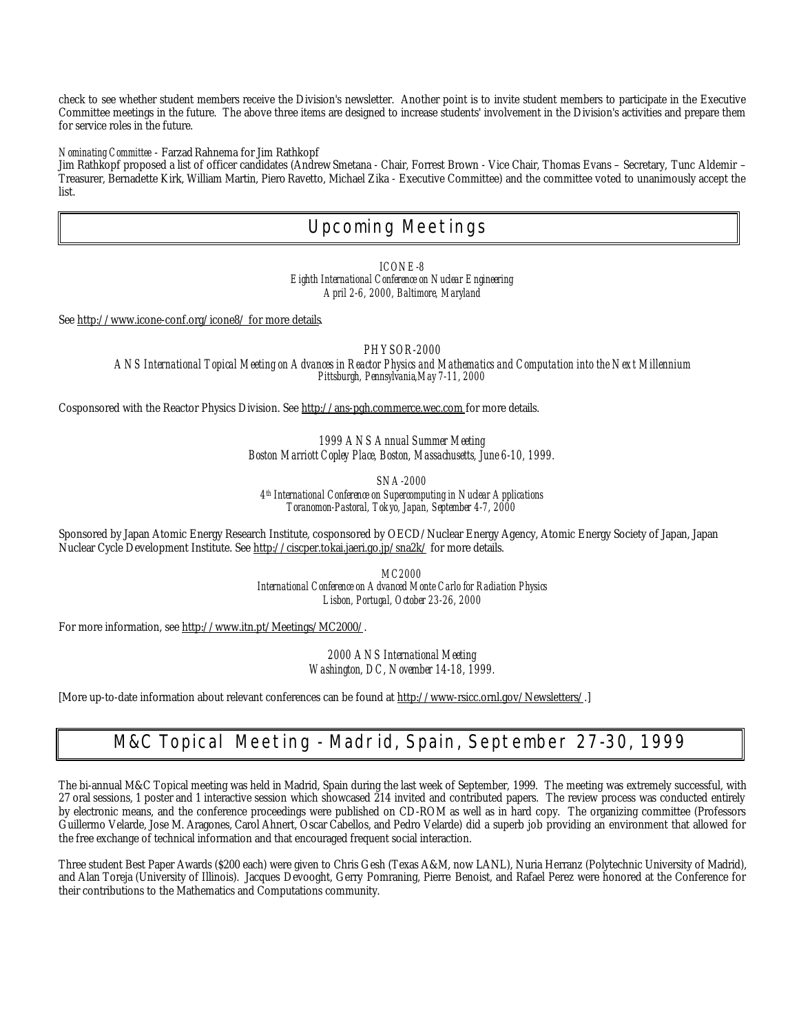check to see whether student members receive the Division's newsletter. Another point is to invite student members to participate in the Executive Committee meetings in the future. The above three items are designed to increase students' involvement in the Division's activities and prepare them for service roles in the future.

*Nominating Committee* - Farzad Rahnema for Jim Rathkopf

Jim Rathkopf proposed a list of officer candidates (Andrew Smetana - Chair, Forrest Brown - Vice Chair, Thomas Evans – Secretary, Tunc Aldemir – Treasurer, Bernadette Kirk, William Martin, Piero Ravetto, Michael Zika - Executive Committee) and the committee voted to unanimously accept the list.

## *Upcoming Meetings*

*ICONE-8 Eighth International Conference on Nuclear Engineering April 2-6, 2000, Baltimore, Maryland*

See http://www.icone-conf.org/icone8/ for more details.

*PHYSOR-2000*

*ANS International Topical Meeting on Advances in Reactor Physics and Mathematics and Computation into the Next Millennium Pittsburgh, Pennsylvania,May 7-11, 2000*

Cosponsored with the Reactor Physics Division. See http://ans-pgh.commerce.wec.com for more details.

*1999 ANS Annual Summer Meeting Boston Marriott Copley Place, Boston, Massachusetts, June 6-10, 1999.*

*SNA-2000*

*4 th International Conference on Supercomputing in Nuclear Applications Toranomon-Pastoral, Tokyo, Japan, September 4-7, 2000*

Sponsored by Japan Atomic Energy Research Institute, cosponsored by OECD/Nuclear Energy Agency, Atomic Energy Society of Japan, Japan Nuclear Cycle Development Institute. See http://ciscper.tokai.jaeri.go.jp/sna2k/ for more details.

> *MC2000 International Conference on Advanced Monte Carlo for Radiation Physics Lisbon, Portugal, October 23-26, 2000*

For more information, see http://www.itn.pt/Meetings/MC2000/.

*2000 ANS International Meeting Washington, DC, November 14-18, 1999.*

[More up-to-date information about relevant conferences can be found at http://www-rsicc.ornl.gov/Newsletters/.]

## *M&C Topical Meeting - Madrid, Spain, September 27-30, 1999*

The bi-annual M&C Topical meeting was held in Madrid, Spain during the last week of September, 1999. The meeting was extremely successful, with 27 oral sessions, 1 poster and 1 interactive session which showcased  $\tilde{214}$  invited and contributed papers. The review process was conducted entirely by electronic means, and the conference proceedings were published on CD-ROM as well as in hard copy. The organizing committee (Professors Guillermo Velarde, Jose M. Aragones, Carol Ahnert, Oscar Cabellos, and Pedro Velarde) did a superb job providing an environment that allowed for the free exchange of technical information and that encouraged frequent social interaction.

Three student Best Paper Awards (\$200 each) were given to Chris Gesh (Texas A&M, now LANL), Nuria Herranz (Polytechnic University of Madrid), and Alan Toreja (University of Illinois). Jacques Devooght, Gerry Pomraning, Pierre Benoist, and Rafael Perez were honored at the Conference for their contributions to the Mathematics and Computations community.